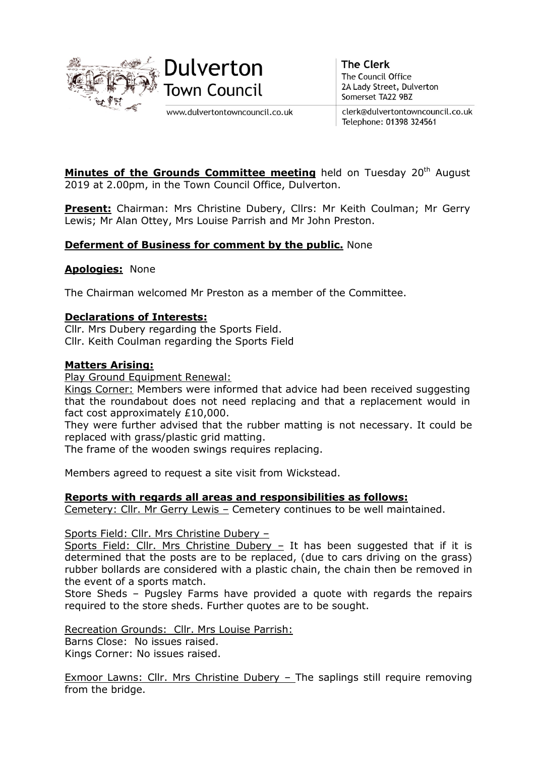

www.dulvertontowncouncil.co.uk

**The Clerk** The Council Office 2A Lady Street, Dulverton Somerset TA22 9BZ

clerk@dulvertontowncouncil.co.uk Telephone: 01398 324561

Minutes of the Grounds Committee meeting held on Tuesday 20<sup>th</sup> August 2019 at 2.00pm, in the Town Council Office, Dulverton.

Present: Chairman: Mrs Christine Dubery, Cllrs: Mr Keith Coulman; Mr Gerry Lewis; Mr Alan Ottey, Mrs Louise Parrish and Mr John Preston.

# **Deferment of Business for comment by the public. None**

### **Apologies: None**

The Chairman welcomed Mr Preston as a member of the Committee.

### Declarations of Interests:

Cllr. Mrs Dubery regarding the Sports Field. Cllr. Keith Coulman regarding the Sports Field

### Matters Arising:

Play Ground Equipment Renewal:

Kings Corner: Members were informed that advice had been received suggesting that the roundabout does not need replacing and that a replacement would in fact cost approximately £10,000.

They were further advised that the rubber matting is not necessary. It could be replaced with grass/plastic grid matting.

The frame of the wooden swings requires replacing.

Members agreed to request a site visit from Wickstead.

#### Reports with regards all areas and responsibilities as follows:

Cemetery: Cllr. Mr Gerry Lewis – Cemetery continues to be well maintained.

Sports Field: Cllr. Mrs Christine Dubery –

Sports Field: Cllr. Mrs Christine Dubery  $-$  It has been suggested that if it is determined that the posts are to be replaced, (due to cars driving on the grass) rubber bollards are considered with a plastic chain, the chain then be removed in the event of a sports match.

Store Sheds – Pugsley Farms have provided a quote with regards the repairs required to the store sheds. Further quotes are to be sought.

Recreation Grounds: Cllr. Mrs Louise Parrish: Barns Close: No issues raised. Kings Corner: No issues raised.

Exmoor Lawns: Cllr. Mrs Christine Dubery – The saplings still require removing from the bridge.